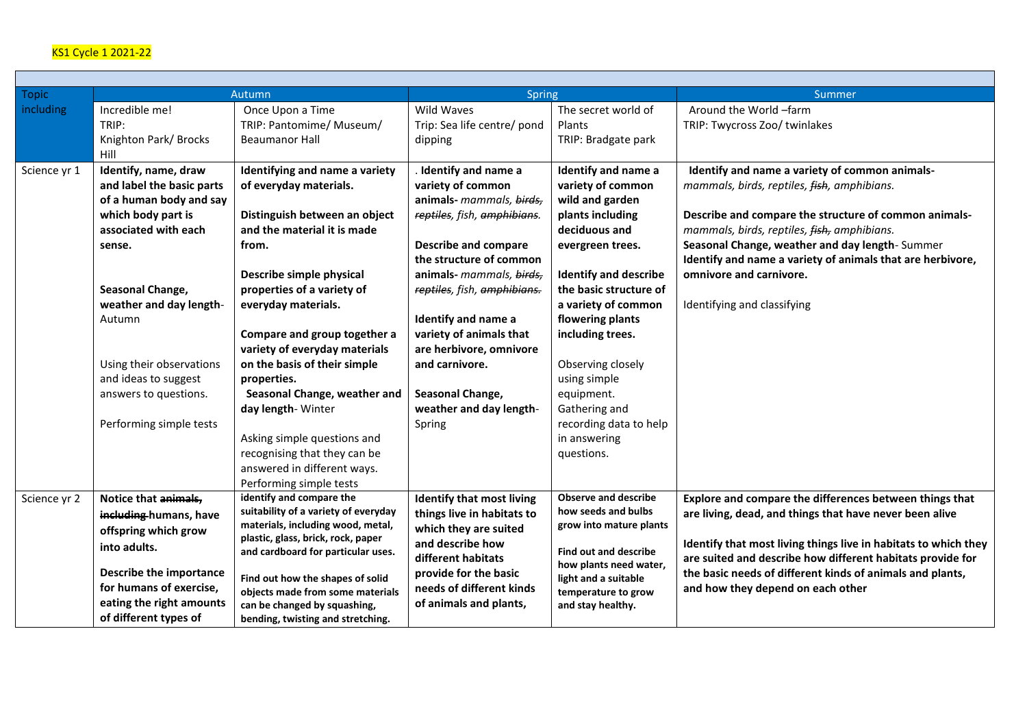## KS1 Cycle 1 2021-22

 $\sim$ 

| <b>Topic</b> |                           | Autumn                               | <b>Spring</b>                    |                                                        | Summer                                                          |  |
|--------------|---------------------------|--------------------------------------|----------------------------------|--------------------------------------------------------|-----------------------------------------------------------------|--|
| including    | Incredible me!            | Once Upon a Time                     | Wild Waves                       | The secret world of                                    | Around the World -farm                                          |  |
|              | TRIP:                     | TRIP: Pantomime/ Museum/             | Trip: Sea life centre/ pond      | <b>Plants</b>                                          | TRIP: Twycross Zoo/ twinlakes                                   |  |
|              | Knighton Park/Brocks      | <b>Beaumanor Hall</b>                | dipping                          | TRIP: Bradgate park                                    |                                                                 |  |
|              | Hill                      |                                      |                                  |                                                        |                                                                 |  |
| Science yr 1 | Identify, name, draw      | Identifying and name a variety       | Identify and name a              | <b>Identify and name a</b>                             | Identify and name a variety of common animals-                  |  |
|              | and label the basic parts | of everyday materials.               | variety of common                | variety of common                                      | mammals, birds, reptiles, fish, amphibians.                     |  |
|              | of a human body and say   |                                      | animals- mammals, birds,         | wild and garden                                        |                                                                 |  |
|              | which body part is        | Distinguish between an object        | reptiles, fish, amphibians.      | plants including                                       | Describe and compare the structure of common animals-           |  |
|              | associated with each      | and the material it is made          |                                  | deciduous and                                          | mammals, birds, reptiles, fish, amphibians.                     |  |
|              | sense.                    | from.                                | <b>Describe and compare</b>      | evergreen trees.                                       | Seasonal Change, weather and day length-Summer                  |  |
|              |                           |                                      | the structure of common          |                                                        | Identify and name a variety of animals that are herbivore,      |  |
|              |                           | Describe simple physical             | animals- mammals, birds,         | <b>Identify and describe</b>                           | omnivore and carnivore.                                         |  |
|              | Seasonal Change,          | properties of a variety of           | reptiles, fish, amphibians.      | the basic structure of                                 |                                                                 |  |
|              | weather and day length-   | everyday materials.                  |                                  | a variety of common                                    | Identifying and classifying                                     |  |
|              | Autumn                    |                                      | Identify and name a              | flowering plants                                       |                                                                 |  |
|              |                           | Compare and group together a         | variety of animals that          | including trees.                                       |                                                                 |  |
|              |                           | variety of everyday materials        | are herbivore, omnivore          |                                                        |                                                                 |  |
|              | Using their observations  | on the basis of their simple         | and carnivore.                   | Observing closely                                      |                                                                 |  |
|              | and ideas to suggest      | properties.                          |                                  | using simple                                           |                                                                 |  |
|              | answers to questions.     | Seasonal Change, weather and         | Seasonal Change,                 | equipment.                                             |                                                                 |  |
|              |                           | day length- Winter                   | weather and day length-          | Gathering and                                          |                                                                 |  |
|              | Performing simple tests   |                                      | Spring                           | recording data to help                                 |                                                                 |  |
|              |                           | Asking simple questions and          |                                  | in answering                                           |                                                                 |  |
|              |                           | recognising that they can be         |                                  | questions.                                             |                                                                 |  |
|              |                           | answered in different ways.          |                                  |                                                        |                                                                 |  |
|              |                           | Performing simple tests              |                                  |                                                        |                                                                 |  |
| Science yr 2 | Notice that animals,      | identify and compare the             | <b>Identify that most living</b> | <b>Observe and describe</b>                            | Explore and compare the differences between things that         |  |
|              | including-humans, have    | suitability of a variety of everyday | things live in habitats to       | how seeds and bulbs                                    | are living, dead, and things that have never been alive         |  |
|              | offspring which grow      | materials, including wood, metal,    | which they are suited            | grow into mature plants                                |                                                                 |  |
|              | into adults.              | plastic, glass, brick, rock, paper   | and describe how                 |                                                        | Identify that most living things live in habitats to which they |  |
|              |                           | and cardboard for particular uses.   | different habitats               | <b>Find out and describe</b><br>how plants need water, | are suited and describe how different habitats provide for      |  |
|              | Describe the importance   | Find out how the shapes of solid     | provide for the basic            | light and a suitable                                   | the basic needs of different kinds of animals and plants,       |  |
|              | for humans of exercise,   | objects made from some materials     | needs of different kinds         | temperature to grow                                    | and how they depend on each other                               |  |
|              | eating the right amounts  | can be changed by squashing,         | of animals and plants,           | and stay healthy.                                      |                                                                 |  |
|              | of different types of     | bending, twisting and stretching.    |                                  |                                                        |                                                                 |  |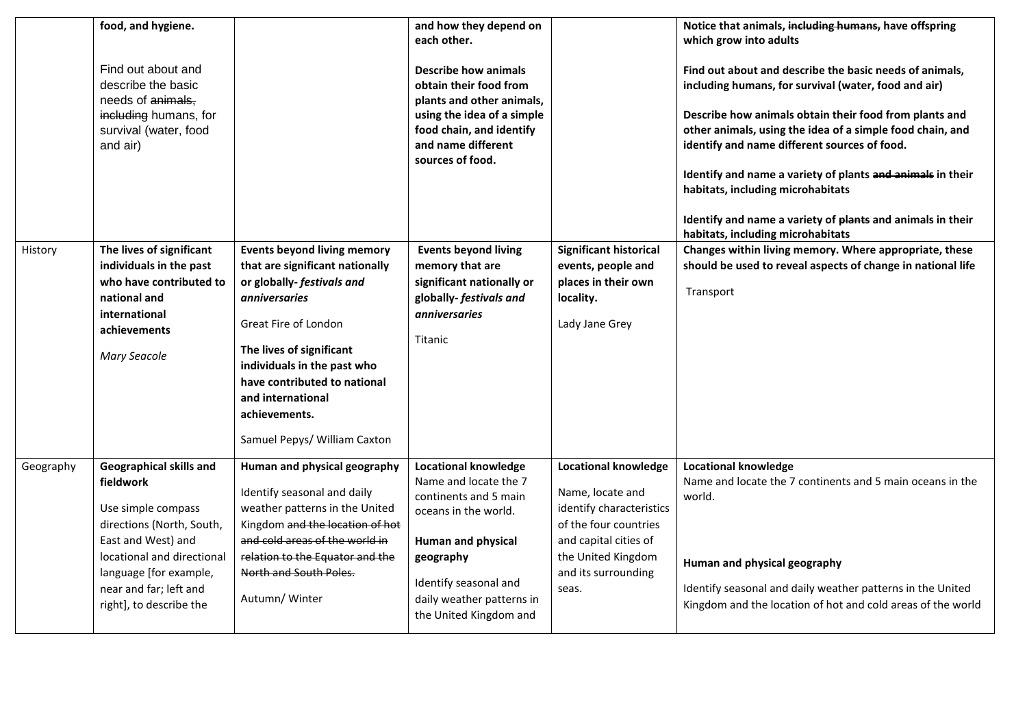|           | food, and hygiene.<br>Find out about and<br>describe the basic<br>needs of animals,<br>including humans, for<br>survival (water, food<br>and air)                                                                                 |                                                                                                                                                                                                                                                                                                                     | and how they depend on<br>each other.<br><b>Describe how animals</b><br>obtain their food from<br>plants and other animals,<br>using the idea of a simple<br>food chain, and identify<br>and name different<br>sources of food. |                                                                                                                                                                                     | Notice that animals, including humans, have offspring<br>which grow into adults<br>Find out about and describe the basic needs of animals,<br>including humans, for survival (water, food and air)<br>Describe how animals obtain their food from plants and<br>other animals, using the idea of a simple food chain, and<br>identify and name different sources of food.<br>Identify and name a variety of plants and animals in their<br>habitats, including microhabitats<br>Identify and name a variety of plants and animals in their<br>habitats, including microhabitats |
|-----------|-----------------------------------------------------------------------------------------------------------------------------------------------------------------------------------------------------------------------------------|---------------------------------------------------------------------------------------------------------------------------------------------------------------------------------------------------------------------------------------------------------------------------------------------------------------------|---------------------------------------------------------------------------------------------------------------------------------------------------------------------------------------------------------------------------------|-------------------------------------------------------------------------------------------------------------------------------------------------------------------------------------|---------------------------------------------------------------------------------------------------------------------------------------------------------------------------------------------------------------------------------------------------------------------------------------------------------------------------------------------------------------------------------------------------------------------------------------------------------------------------------------------------------------------------------------------------------------------------------|
| History   | The lives of significant<br>individuals in the past<br>who have contributed to<br>national and<br>international<br>achievements<br><b>Mary Seacole</b>                                                                            | <b>Events beyond living memory</b><br>that are significant nationally<br>or globally-festivals and<br><i>anniversaries</i><br>Great Fire of London<br>The lives of significant<br>individuals in the past who<br>have contributed to national<br>and international<br>achievements.<br>Samuel Pepys/ William Caxton | <b>Events beyond living</b><br>memory that are<br>significant nationally or<br>globally-festivals and<br><i>anniversaries</i><br>Titanic                                                                                        | <b>Significant historical</b><br>events, people and<br>places in their own<br>locality.<br>Lady Jane Grey                                                                           | Changes within living memory. Where appropriate, these<br>should be used to reveal aspects of change in national life<br>Transport                                                                                                                                                                                                                                                                                                                                                                                                                                              |
| Geography | <b>Geographical skills and</b><br>fieldwork<br>Use simple compass<br>directions (North, South,<br>East and West) and<br>locational and directional<br>language [for example,<br>near and far; left and<br>right], to describe the | Human and physical geography<br>Identify seasonal and daily<br>weather patterns in the United<br>Kingdom and the location of hot<br>and cold areas of the world in<br>relation to the Equator and the<br>North and South Poles.<br>Autumn/ Winter                                                                   | <b>Locational knowledge</b><br>Name and locate the 7<br>continents and 5 main<br>oceans in the world.<br>Human and physical<br>geography<br>Identify seasonal and<br>daily weather patterns in<br>the United Kingdom and        | <b>Locational knowledge</b><br>Name, locate and<br>identify characteristics<br>of the four countries<br>and capital cities of<br>the United Kingdom<br>and its surrounding<br>seas. | <b>Locational knowledge</b><br>Name and locate the 7 continents and 5 main oceans in the<br>world.<br>Human and physical geography<br>Identify seasonal and daily weather patterns in the United<br>Kingdom and the location of hot and cold areas of the world                                                                                                                                                                                                                                                                                                                 |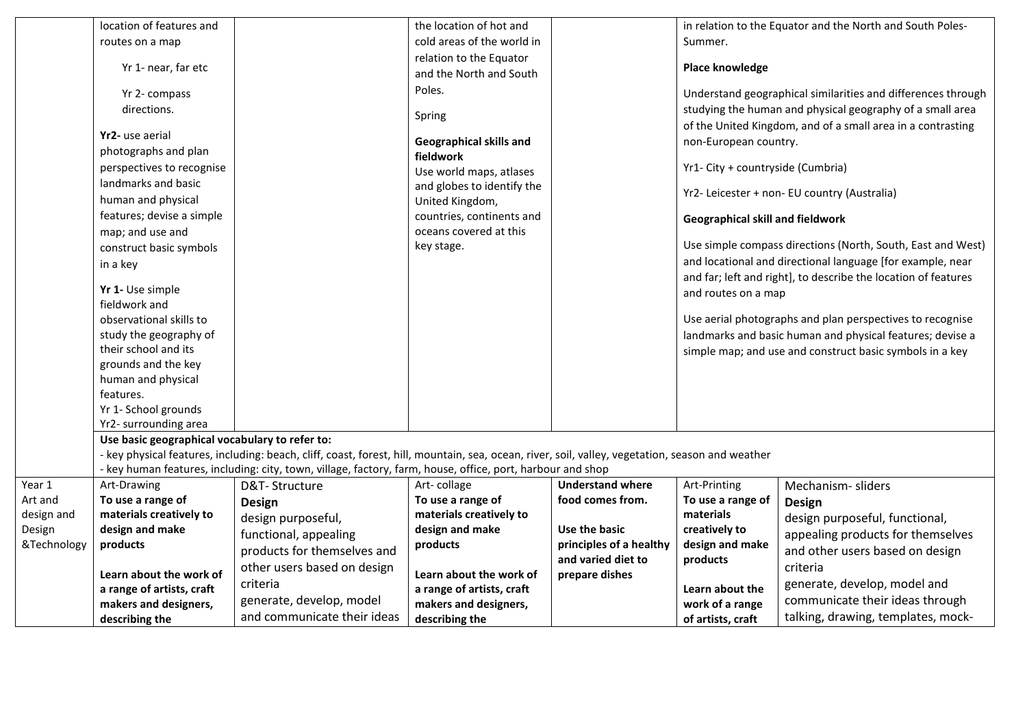|             | location of features and                       |                                                                                                                                                  | the location of hot and    |                                               |                                         | in relation to the Equator and the North and South Poles-                                                              |  |
|-------------|------------------------------------------------|--------------------------------------------------------------------------------------------------------------------------------------------------|----------------------------|-----------------------------------------------|-----------------------------------------|------------------------------------------------------------------------------------------------------------------------|--|
|             | routes on a map                                |                                                                                                                                                  | cold areas of the world in |                                               | Summer.                                 |                                                                                                                        |  |
|             |                                                |                                                                                                                                                  | relation to the Equator    |                                               |                                         |                                                                                                                        |  |
|             | Yr 1- near, far etc                            |                                                                                                                                                  | and the North and South    |                                               | Place knowledge                         |                                                                                                                        |  |
|             | Yr 2- compass                                  |                                                                                                                                                  | Poles.                     |                                               |                                         | Understand geographical similarities and differences through                                                           |  |
|             | directions.                                    |                                                                                                                                                  |                            |                                               |                                         | studying the human and physical geography of a small area                                                              |  |
|             |                                                |                                                                                                                                                  | Spring                     |                                               |                                         | of the United Kingdom, and of a small area in a contrasting                                                            |  |
|             | Yr2- use aerial                                |                                                                                                                                                  | Geographical skills and    |                                               | non-European country.                   |                                                                                                                        |  |
|             | photographs and plan                           |                                                                                                                                                  | fieldwork                  |                                               |                                         |                                                                                                                        |  |
|             | perspectives to recognise                      |                                                                                                                                                  | Use world maps, atlases    |                                               | Yr1- City + countryside (Cumbria)       |                                                                                                                        |  |
|             | landmarks and basic                            |                                                                                                                                                  | and globes to identify the |                                               |                                         |                                                                                                                        |  |
|             | human and physical                             |                                                                                                                                                  | United Kingdom,            |                                               |                                         | Yr2- Leicester + non- EU country (Australia)                                                                           |  |
|             | features; devise a simple                      |                                                                                                                                                  | countries, continents and  |                                               | <b>Geographical skill and fieldwork</b> |                                                                                                                        |  |
|             | map; and use and                               |                                                                                                                                                  | oceans covered at this     |                                               |                                         |                                                                                                                        |  |
|             | construct basic symbols                        |                                                                                                                                                  | key stage.                 |                                               |                                         | Use simple compass directions (North, South, East and West)                                                            |  |
|             | in a key                                       |                                                                                                                                                  |                            |                                               |                                         | and locational and directional language [for example, near                                                             |  |
|             |                                                |                                                                                                                                                  |                            |                                               |                                         | and far; left and right], to describe the location of features                                                         |  |
|             | Yr 1- Use simple                               |                                                                                                                                                  |                            |                                               | and routes on a map                     |                                                                                                                        |  |
|             | fieldwork and<br>observational skills to       |                                                                                                                                                  |                            |                                               |                                         |                                                                                                                        |  |
|             | study the geography of                         |                                                                                                                                                  |                            |                                               |                                         | Use aerial photographs and plan perspectives to recognise<br>landmarks and basic human and physical features; devise a |  |
|             | their school and its                           |                                                                                                                                                  |                            |                                               |                                         |                                                                                                                        |  |
|             | grounds and the key                            |                                                                                                                                                  |                            |                                               |                                         | simple map; and use and construct basic symbols in a key                                                               |  |
|             | human and physical                             |                                                                                                                                                  |                            |                                               |                                         |                                                                                                                        |  |
|             | features.                                      |                                                                                                                                                  |                            |                                               |                                         |                                                                                                                        |  |
|             | Yr 1- School grounds                           |                                                                                                                                                  |                            |                                               |                                         |                                                                                                                        |  |
|             | Yr2- surrounding area                          |                                                                                                                                                  |                            |                                               |                                         |                                                                                                                        |  |
|             | Use basic geographical vocabulary to refer to: |                                                                                                                                                  |                            |                                               |                                         |                                                                                                                        |  |
|             |                                                | - key physical features, including: beach, cliff, coast, forest, hill, mountain, sea, ocean, river, soil, valley, vegetation, season and weather |                            |                                               |                                         |                                                                                                                        |  |
|             |                                                | - key human features, including: city, town, village, factory, farm, house, office, port, harbour and shop                                       |                            |                                               |                                         |                                                                                                                        |  |
| Year 1      | Art-Drawing                                    | D&T-Structure                                                                                                                                    | Art-collage                | <b>Understand where</b>                       | Art-Printing                            | Mechanism-sliders                                                                                                      |  |
| Art and     | To use a range of                              | <b>Design</b>                                                                                                                                    | To use a range of          | food comes from.                              | To use a range of                       | <b>Design</b>                                                                                                          |  |
| design and  | materials creatively to                        | design purposeful,                                                                                                                               | materials creatively to    |                                               | materials                               | design purposeful, functional,                                                                                         |  |
| Design      | design and make                                | functional, appealing                                                                                                                            | design and make            | Use the basic                                 | creatively to                           | appealing products for themselves                                                                                      |  |
| &Technology | products                                       | products for themselves and                                                                                                                      | products                   | principles of a healthy<br>and varied diet to | design and make                         | and other users based on design                                                                                        |  |
|             | Learn about the work of                        | other users based on design                                                                                                                      | Learn about the work of    | prepare dishes                                | products                                | criteria                                                                                                               |  |
|             | a range of artists, craft                      | criteria                                                                                                                                         | a range of artists, craft  |                                               | Learn about the                         | generate, develop, model and                                                                                           |  |
|             | makers and designers,                          | generate, develop, model                                                                                                                         | makers and designers,      |                                               | work of a range                         | communicate their ideas through                                                                                        |  |
|             | describing the                                 | and communicate their ideas                                                                                                                      | describing the             |                                               | of artists, craft                       | talking, drawing, templates, mock-                                                                                     |  |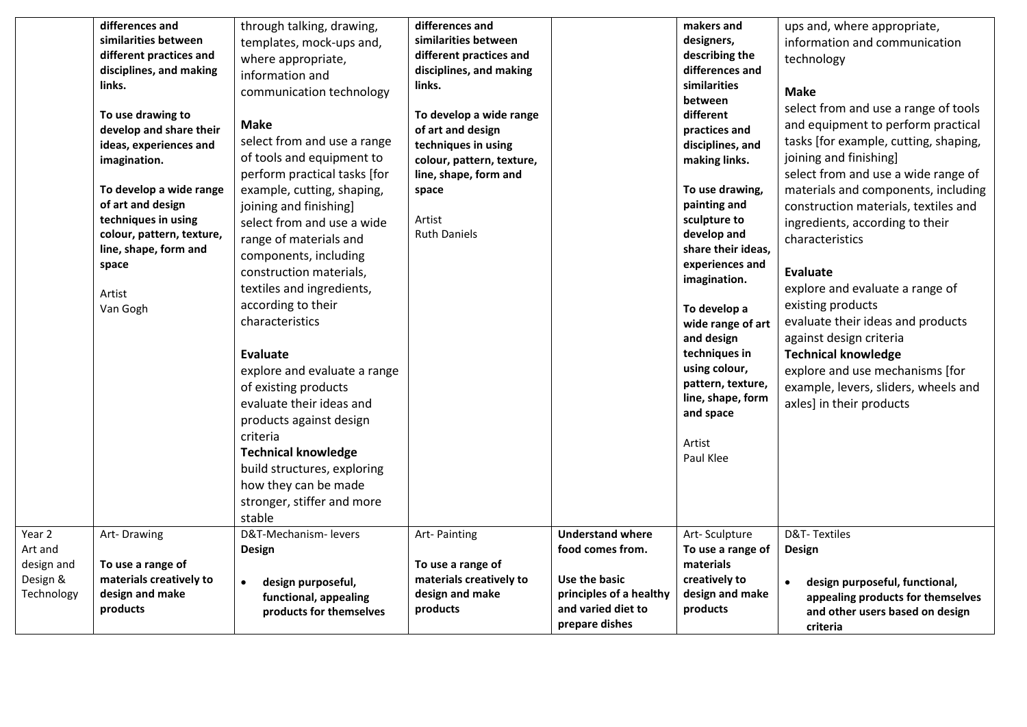|                                                           | differences and<br>similarities between<br>different practices and<br>disciplines, and making<br>links.<br>To use drawing to<br>develop and share their<br>ideas, experiences and<br>imagination.<br>To develop a wide range<br>of art and design<br>techniques in using<br>colour, pattern, texture,<br>line, shape, form and<br>space<br>Artist<br>Van Gogh | through talking, drawing,<br>templates, mock-ups and,<br>where appropriate,<br>information and<br>communication technology<br><b>Make</b><br>select from and use a range<br>of tools and equipment to<br>perform practical tasks [for<br>example, cutting, shaping,<br>joining and finishing]<br>select from and use a wide<br>range of materials and<br>components, including<br>construction materials,<br>textiles and ingredients,<br>according to their<br>characteristics<br>Evaluate<br>explore and evaluate a range<br>of existing products<br>evaluate their ideas and<br>products against design<br>criteria<br><b>Technical knowledge</b><br>build structures, exploring<br>how they can be made<br>stronger, stiffer and more<br>stable<br>D&T-Mechanism- levers | differences and<br>similarities between<br>different practices and<br>disciplines, and making<br>links.<br>To develop a wide range<br>of art and design<br>techniques in using<br>colour, pattern, texture,<br>line, shape, form and<br>space<br>Artist<br><b>Ruth Daniels</b> | <b>Understand where</b>                                                                              | makers and<br>designers,<br>describing the<br>differences and<br>similarities<br>between<br>different<br>practices and<br>disciplines, and<br>making links.<br>To use drawing,<br>painting and<br>sculpture to<br>develop and<br>share their ideas,<br>experiences and<br>imagination.<br>To develop a<br>wide range of art<br>and design<br>techniques in<br>using colour,<br>pattern, texture,<br>line, shape, form<br>and space<br>Artist<br>Paul Klee | ups and, where appropriate,<br>information and communication<br>technology<br><b>Make</b><br>select from and use a range of tools<br>and equipment to perform practical<br>tasks [for example, cutting, shaping,<br>joining and finishing]<br>select from and use a wide range of<br>materials and components, including<br>construction materials, textiles and<br>ingredients, according to their<br>characteristics<br><b>Evaluate</b><br>explore and evaluate a range of<br>existing products<br>evaluate their ideas and products<br>against design criteria<br><b>Technical knowledge</b><br>explore and use mechanisms [for<br>example, levers, sliders, wheels and<br>axles] in their products<br>D&T-Textiles |
|-----------------------------------------------------------|---------------------------------------------------------------------------------------------------------------------------------------------------------------------------------------------------------------------------------------------------------------------------------------------------------------------------------------------------------------|------------------------------------------------------------------------------------------------------------------------------------------------------------------------------------------------------------------------------------------------------------------------------------------------------------------------------------------------------------------------------------------------------------------------------------------------------------------------------------------------------------------------------------------------------------------------------------------------------------------------------------------------------------------------------------------------------------------------------------------------------------------------------|--------------------------------------------------------------------------------------------------------------------------------------------------------------------------------------------------------------------------------------------------------------------------------|------------------------------------------------------------------------------------------------------|-----------------------------------------------------------------------------------------------------------------------------------------------------------------------------------------------------------------------------------------------------------------------------------------------------------------------------------------------------------------------------------------------------------------------------------------------------------|------------------------------------------------------------------------------------------------------------------------------------------------------------------------------------------------------------------------------------------------------------------------------------------------------------------------------------------------------------------------------------------------------------------------------------------------------------------------------------------------------------------------------------------------------------------------------------------------------------------------------------------------------------------------------------------------------------------------|
| Year 2<br>Art and<br>design and<br>Design &<br>Technology | Art-Drawing<br>To use a range of<br>materials creatively to<br>design and make<br>products                                                                                                                                                                                                                                                                    | Design<br>design purposeful,<br>$\bullet$<br>functional, appealing<br>products for themselves                                                                                                                                                                                                                                                                                                                                                                                                                                                                                                                                                                                                                                                                                | Art-Painting<br>To use a range of<br>materials creatively to<br>design and make<br>products                                                                                                                                                                                    | food comes from.<br>Use the basic<br>principles of a healthy<br>and varied diet to<br>prepare dishes | Art-Sculpture<br>To use a range of<br>materials<br>creatively to<br>design and make<br>products                                                                                                                                                                                                                                                                                                                                                           | Design<br>design purposeful, functional,<br>appealing products for themselves<br>and other users based on design<br>criteria                                                                                                                                                                                                                                                                                                                                                                                                                                                                                                                                                                                           |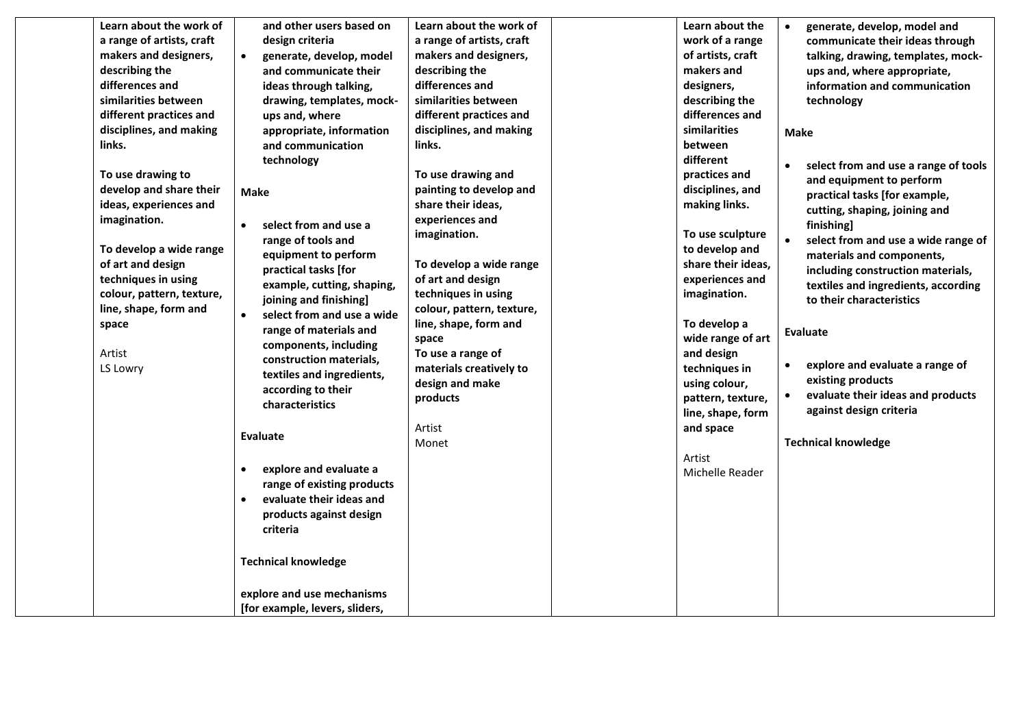| Learn about the work of   | and other users based on                | Learn about the work of   | Learn about the    | generate, develop, model and<br>$\bullet$         |
|---------------------------|-----------------------------------------|---------------------------|--------------------|---------------------------------------------------|
| a range of artists, craft | design criteria                         | a range of artists, craft | work of a range    | communicate their ideas through                   |
| makers and designers,     | generate, develop, model<br>$\bullet$   | makers and designers,     | of artists, craft  | talking, drawing, templates, mock-                |
| describing the            | and communicate their                   | describing the            | makers and         | ups and, where appropriate,                       |
| differences and           | ideas through talking,                  | differences and           | designers,         | information and communication                     |
| similarities between      | drawing, templates, mock-               | similarities between      | describing the     | technology                                        |
| different practices and   | ups and, where                          | different practices and   | differences and    |                                                   |
| disciplines, and making   | appropriate, information                | disciplines, and making   | similarities       | <b>Make</b>                                       |
| links.                    | and communication                       | links.                    | between            |                                                   |
|                           | technology                              |                           | different          | select from and use a range of tools<br>$\bullet$ |
| To use drawing to         |                                         | To use drawing and        | practices and      | and equipment to perform                          |
| develop and share their   | <b>Make</b>                             | painting to develop and   | disciplines, and   | practical tasks [for example,                     |
| ideas, experiences and    |                                         | share their ideas,        | making links.      | cutting, shaping, joining and                     |
| imagination.              | select from and use a<br>$\bullet$      | experiences and           |                    | finishing]                                        |
|                           | range of tools and                      | imagination.              | To use sculpture   | select from and use a wide range of               |
| To develop a wide range   | equipment to perform                    |                           | to develop and     | materials and components,                         |
| of art and design         | practical tasks [for                    | To develop a wide range   | share their ideas, | including construction materials,                 |
| techniques in using       | example, cutting, shaping,              | of art and design         | experiences and    | textiles and ingredients, according               |
| colour, pattern, texture, | joining and finishing]                  | techniques in using       | imagination.       | to their characteristics                          |
| line, shape, form and     | $\bullet$<br>select from and use a wide | colour, pattern, texture, |                    |                                                   |
| space                     | range of materials and                  | line, shape, form and     | To develop a       |                                                   |
|                           | components, including                   | space                     | wide range of art  | <b>Evaluate</b>                                   |
| Artist                    | construction materials,                 | To use a range of         | and design         |                                                   |
| LS Lowry                  | textiles and ingredients,               | materials creatively to   | techniques in      | explore and evaluate a range of<br>$\bullet$      |
|                           | according to their                      | design and make           | using colour,      | existing products                                 |
|                           | characteristics                         | products                  | pattern, texture,  | evaluate their ideas and products<br>$\bullet$    |
|                           |                                         |                           | line, shape, form  | against design criteria                           |
|                           | <b>Evaluate</b>                         | Artist                    | and space          |                                                   |
|                           |                                         | Monet                     |                    | <b>Technical knowledge</b>                        |
|                           |                                         |                           | Artist             |                                                   |
|                           | explore and evaluate a<br>$\bullet$     |                           | Michelle Reader    |                                                   |
|                           | range of existing products              |                           |                    |                                                   |
|                           | evaluate their ideas and<br>$\bullet$   |                           |                    |                                                   |
|                           | products against design                 |                           |                    |                                                   |
|                           | criteria                                |                           |                    |                                                   |
|                           | <b>Technical knowledge</b>              |                           |                    |                                                   |
|                           |                                         |                           |                    |                                                   |
|                           | explore and use mechanisms              |                           |                    |                                                   |
|                           | [for example, levers, sliders,          |                           |                    |                                                   |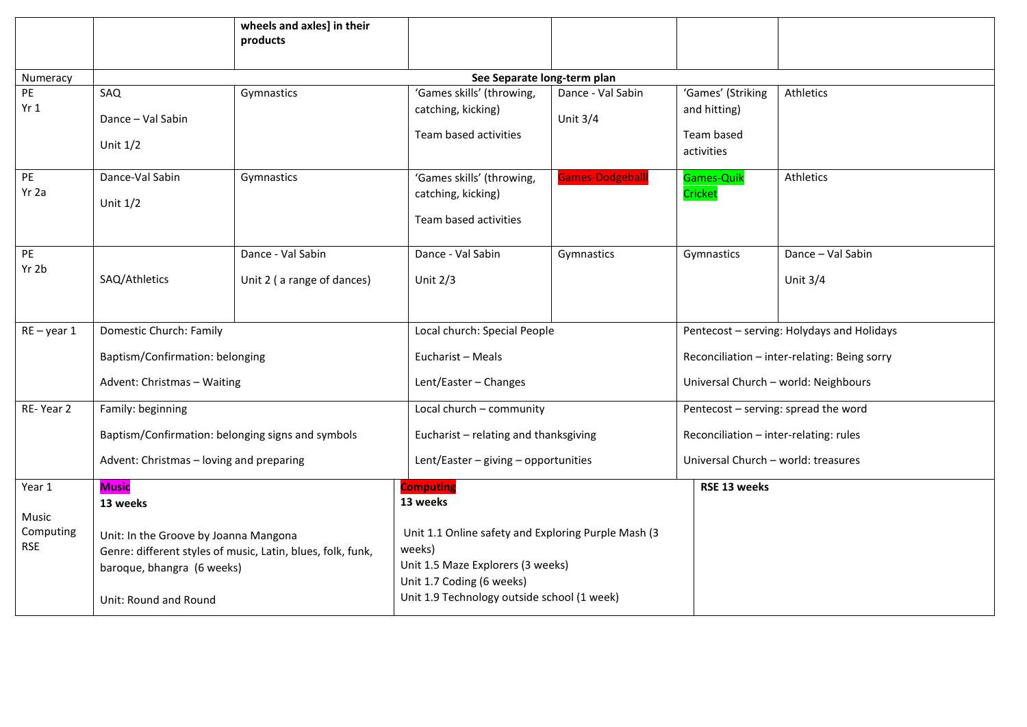|                                                                                                                                                                                        |                                                   | wheels and axles] in their<br>products                                                                                                                                         |                                                                          |                                 |                                                 |                                              |  |  |  |
|----------------------------------------------------------------------------------------------------------------------------------------------------------------------------------------|---------------------------------------------------|--------------------------------------------------------------------------------------------------------------------------------------------------------------------------------|--------------------------------------------------------------------------|---------------------------------|-------------------------------------------------|----------------------------------------------|--|--|--|
|                                                                                                                                                                                        |                                                   |                                                                                                                                                                                |                                                                          |                                 |                                                 |                                              |  |  |  |
| Numeracy                                                                                                                                                                               | See Separate long-term plan                       |                                                                                                                                                                                |                                                                          |                                 |                                                 |                                              |  |  |  |
| PE<br>Yr1                                                                                                                                                                              | SAQ<br>Dance - Val Sabin                          | Gymnastics                                                                                                                                                                     | 'Games skills' (throwing,<br>catching, kicking)<br>Team based activities | Dance - Val Sabin<br>Unit $3/4$ | 'Games' (Striking<br>and hitting)<br>Team based | Athletics                                    |  |  |  |
|                                                                                                                                                                                        | Unit $1/2$                                        |                                                                                                                                                                                |                                                                          |                                 | activities                                      |                                              |  |  |  |
| PE<br>Yr 2a                                                                                                                                                                            | Dance-Val Sabin<br>Unit $1/2$                     | Gymnastics                                                                                                                                                                     | 'Games skills' (throwing,<br>catching, kicking)<br>Team based activities | <b>Games-Dodgeballl</b>         | Games-Quik<br>Cricket                           | Athletics                                    |  |  |  |
| PE<br>Yr 2b                                                                                                                                                                            | SAQ/Athletics                                     | Dance - Val Sabin<br>Unit 2 (a range of dances)                                                                                                                                | Dance - Val Sabin<br>Unit $2/3$                                          | Gymnastics                      | Gymnastics                                      | Dance - Val Sabin<br>Unit $3/4$              |  |  |  |
| $RE - year 1$                                                                                                                                                                          | Domestic Church: Family                           |                                                                                                                                                                                | Local church: Special People                                             |                                 |                                                 | Pentecost - serving: Holydays and Holidays   |  |  |  |
|                                                                                                                                                                                        | Baptism/Confirmation: belonging                   |                                                                                                                                                                                | Eucharist - Meals                                                        |                                 |                                                 | Reconciliation - inter-relating: Being sorry |  |  |  |
|                                                                                                                                                                                        | Advent: Christmas - Waiting                       |                                                                                                                                                                                | Lent/Easter - Changes                                                    |                                 |                                                 | Universal Church - world: Neighbours         |  |  |  |
| RE-Year 2                                                                                                                                                                              | Family: beginning                                 |                                                                                                                                                                                | Local church - community                                                 |                                 |                                                 | Pentecost - serving: spread the word         |  |  |  |
|                                                                                                                                                                                        | Baptism/Confirmation: belonging signs and symbols |                                                                                                                                                                                | Eucharist - relating and thanksgiving                                    |                                 |                                                 | Reconciliation - inter-relating: rules       |  |  |  |
|                                                                                                                                                                                        | Advent: Christmas - loving and preparing          |                                                                                                                                                                                | Lent/Easter $-$ giving $-$ opportunities                                 |                                 |                                                 | Universal Church - world: treasures          |  |  |  |
| Year 1<br>Music                                                                                                                                                                        | <b>Music</b><br>13 weeks                          |                                                                                                                                                                                | <b>Computing</b><br>13 weeks                                             |                                 | RSE 13 weeks                                    |                                              |  |  |  |
| Computing<br>Unit: In the Groove by Joanna Mangona<br><b>RSE</b><br>Genre: different styles of music, Latin, blues, folk, funk,<br>baroque, bhangra (6 weeks)<br>Unit: Round and Round |                                                   | Unit 1.1 Online safety and Exploring Purple Mash (3<br>weeks)<br>Unit 1.5 Maze Explorers (3 weeks)<br>Unit 1.7 Coding (6 weeks)<br>Unit 1.9 Technology outside school (1 week) |                                                                          |                                 |                                                 |                                              |  |  |  |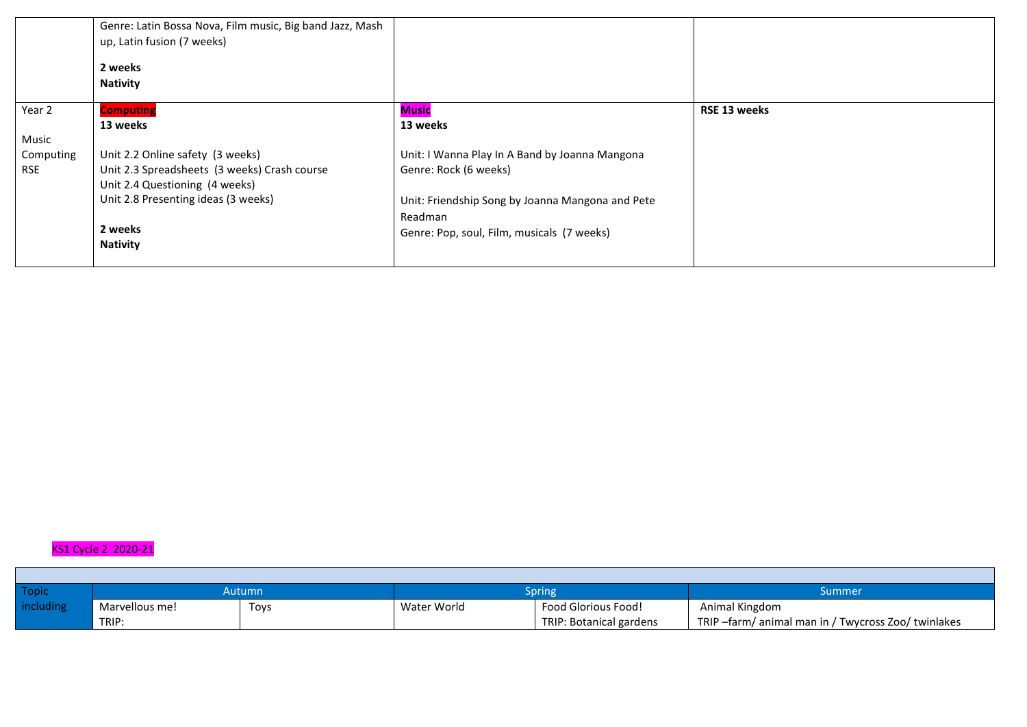|            | Genre: Latin Bossa Nova, Film music, Big band Jazz, Mash<br>up, Latin fusion (7 weeks) |                                                  |              |
|------------|----------------------------------------------------------------------------------------|--------------------------------------------------|--------------|
|            | 2 weeks<br><b>Nativity</b>                                                             |                                                  |              |
|            |                                                                                        |                                                  |              |
| Year 2     | <b>Computing</b>                                                                       | Music                                            | RSE 13 weeks |
|            | 13 weeks                                                                               | 13 weeks                                         |              |
| Music      |                                                                                        |                                                  |              |
| Computing  | Unit 2.2 Online safety (3 weeks)                                                       | Unit: I Wanna Play In A Band by Joanna Mangona   |              |
| <b>RSE</b> | Unit 2.3 Spreadsheets (3 weeks) Crash course<br>Unit 2.4 Questioning (4 weeks)         | Genre: Rock (6 weeks)                            |              |
|            | Unit 2.8 Presenting ideas (3 weeks)                                                    | Unit: Friendship Song by Joanna Mangona and Pete |              |
|            |                                                                                        | Readman                                          |              |
|            | 2 weeks                                                                                |                                                  |              |
|            | <b>Nativity</b>                                                                        | Genre: Pop, soul, Film, musicals (7 weeks)       |              |
|            |                                                                                        |                                                  |              |

## KS1 Cycle 2 2020-21

П

| Topic     | Autumn         |      | Spring      |                            | Summer                                            |  |
|-----------|----------------|------|-------------|----------------------------|---------------------------------------------------|--|
| including | Marvellous me! | Toys | Water World | <b>Food Glorious Food!</b> | Animal Kingdom                                    |  |
|           | TRIP:          |      |             | TRIP: Botanical gardens    | TRIP-farm/animal man in / Twycross Zoo/ twinlakes |  |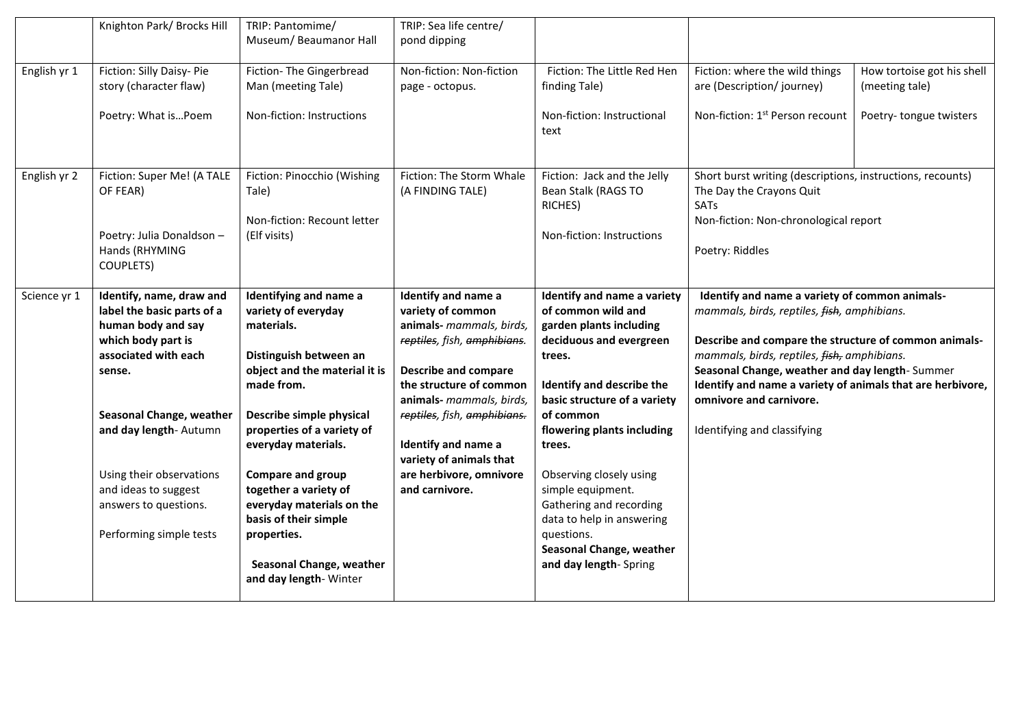|              | Knighton Park/ Brocks Hill                                                                                                           | TRIP: Pantomime/<br>Museum/ Beaumanor Hall                                                                                           | TRIP: Sea life centre/<br>pond dipping                                                                                                                                                    |                                                                                                                                                                                |                                                                                                                                                                                                                                                                                                                       |                                              |
|--------------|--------------------------------------------------------------------------------------------------------------------------------------|--------------------------------------------------------------------------------------------------------------------------------------|-------------------------------------------------------------------------------------------------------------------------------------------------------------------------------------------|--------------------------------------------------------------------------------------------------------------------------------------------------------------------------------|-----------------------------------------------------------------------------------------------------------------------------------------------------------------------------------------------------------------------------------------------------------------------------------------------------------------------|----------------------------------------------|
| English yr 1 | Fiction: Silly Daisy- Pie<br>story (character flaw)                                                                                  | Fiction- The Gingerbread<br>Man (meeting Tale)                                                                                       | Non-fiction: Non-fiction<br>page - octopus.                                                                                                                                               | Fiction: The Little Red Hen<br>finding Tale)                                                                                                                                   | Fiction: where the wild things<br>are (Description/journey)                                                                                                                                                                                                                                                           | How tortoise got his shell<br>(meeting tale) |
|              | Poetry: What isPoem                                                                                                                  | Non-fiction: Instructions                                                                                                            |                                                                                                                                                                                           | Non-fiction: Instructional<br>text                                                                                                                                             | Non-fiction: 1 <sup>st</sup> Person recount                                                                                                                                                                                                                                                                           | Poetry-tongue twisters                       |
| English yr 2 | Fiction: Super Me! (A TALE<br>OF FEAR)<br>Poetry: Julia Donaldson -                                                                  | Fiction: Pinocchio (Wishing<br>Tale)<br>Non-fiction: Recount letter<br>(Elf visits)                                                  | Fiction: The Storm Whale<br>(A FINDING TALE)                                                                                                                                              | Fiction: Jack and the Jelly<br>Bean Stalk (RAGS TO<br>RICHES)<br>Non-fiction: Instructions                                                                                     | Short burst writing (descriptions, instructions, recounts)<br>The Day the Crayons Quit<br>SATs<br>Non-fiction: Non-chronological report                                                                                                                                                                               |                                              |
|              | Hands (RHYMING<br><b>COUPLETS)</b>                                                                                                   |                                                                                                                                      |                                                                                                                                                                                           |                                                                                                                                                                                | Poetry: Riddles                                                                                                                                                                                                                                                                                                       |                                              |
| Science yr 1 | Identify, name, draw and<br>label the basic parts of a<br>human body and say<br>which body part is<br>associated with each<br>sense. | Identifying and name a<br>variety of everyday<br>materials.<br>Distinguish between an<br>object and the material it is<br>made from. | Identify and name a<br>variety of common<br>animals- mammals, birds,<br>reptiles, fish, amphibians.<br><b>Describe and compare</b><br>the structure of common<br>animals- mammals, birds, | Identify and name a variety<br>of common wild and<br>garden plants including<br>deciduous and evergreen<br>trees.<br>Identify and describe the<br>basic structure of a variety | Identify and name a variety of common animals-<br>mammals, birds, reptiles, fish, amphibians.<br>Describe and compare the structure of common animals-<br>mammals, birds, reptiles, fish, amphibians.<br>Seasonal Change, weather and day length-Summer<br>Identify and name a variety of animals that are herbivore, |                                              |
|              | Seasonal Change, weather<br>and day length- Autumn                                                                                   | Describe simple physical<br>properties of a variety of<br>everyday materials.                                                        | reptiles, fish, amphibians.<br>Identify and name a<br>variety of animals that                                                                                                             | of common<br>flowering plants including<br>trees.                                                                                                                              | omnivore and carnivore.<br>Identifying and classifying                                                                                                                                                                                                                                                                |                                              |
|              | Using their observations<br>and ideas to suggest<br>answers to questions.                                                            | <b>Compare and group</b><br>together a variety of<br>everyday materials on the<br>basis of their simple                              | are herbivore, omnivore<br>and carnivore.                                                                                                                                                 | Observing closely using<br>simple equipment.<br>Gathering and recording<br>data to help in answering                                                                           |                                                                                                                                                                                                                                                                                                                       |                                              |
|              | Performing simple tests                                                                                                              | properties.<br>Seasonal Change, weather<br>and day length-Winter                                                                     |                                                                                                                                                                                           | questions.<br>Seasonal Change, weather<br>and day length-Spring                                                                                                                |                                                                                                                                                                                                                                                                                                                       |                                              |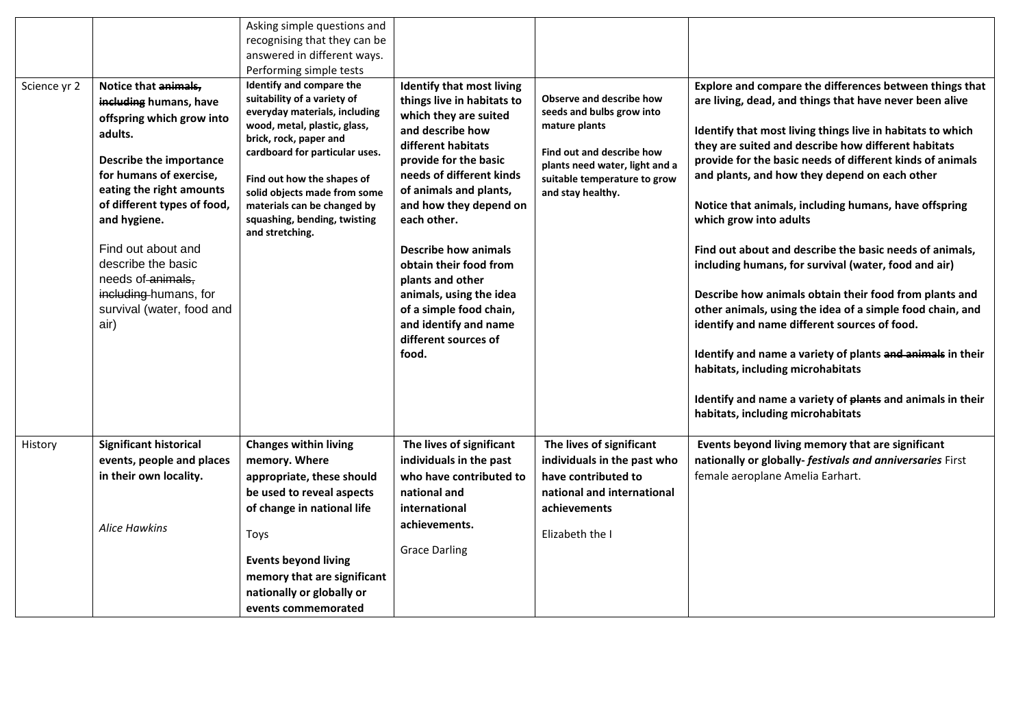|              |                                                                                                                                                                                                                                                                                                                                                        | Asking simple questions and<br>recognising that they can be                                                                                                                                                                                                                                                                          |                                                                                                                                                                                                                                                                                                                                                                                                                                                 |                                                                                                                                                                                                   |                                                                                                                                                                                                                                                                                                                                                                                                                                                                                                                                                                                                                                                                                                                                                                                                                                                                                                                                          |
|--------------|--------------------------------------------------------------------------------------------------------------------------------------------------------------------------------------------------------------------------------------------------------------------------------------------------------------------------------------------------------|--------------------------------------------------------------------------------------------------------------------------------------------------------------------------------------------------------------------------------------------------------------------------------------------------------------------------------------|-------------------------------------------------------------------------------------------------------------------------------------------------------------------------------------------------------------------------------------------------------------------------------------------------------------------------------------------------------------------------------------------------------------------------------------------------|---------------------------------------------------------------------------------------------------------------------------------------------------------------------------------------------------|------------------------------------------------------------------------------------------------------------------------------------------------------------------------------------------------------------------------------------------------------------------------------------------------------------------------------------------------------------------------------------------------------------------------------------------------------------------------------------------------------------------------------------------------------------------------------------------------------------------------------------------------------------------------------------------------------------------------------------------------------------------------------------------------------------------------------------------------------------------------------------------------------------------------------------------|
|              |                                                                                                                                                                                                                                                                                                                                                        | answered in different ways.                                                                                                                                                                                                                                                                                                          |                                                                                                                                                                                                                                                                                                                                                                                                                                                 |                                                                                                                                                                                                   |                                                                                                                                                                                                                                                                                                                                                                                                                                                                                                                                                                                                                                                                                                                                                                                                                                                                                                                                          |
|              |                                                                                                                                                                                                                                                                                                                                                        | Performing simple tests                                                                                                                                                                                                                                                                                                              |                                                                                                                                                                                                                                                                                                                                                                                                                                                 |                                                                                                                                                                                                   |                                                                                                                                                                                                                                                                                                                                                                                                                                                                                                                                                                                                                                                                                                                                                                                                                                                                                                                                          |
| Science yr 2 | Notice that animals,<br>including humans, have<br>offspring which grow into<br>adults.<br>Describe the importance<br>for humans of exercise,<br>eating the right amounts<br>of different types of food,<br>and hygiene.<br>Find out about and<br>describe the basic<br>needs of animals.<br>including-humans, for<br>survival (water, food and<br>air) | Identify and compare the<br>suitability of a variety of<br>everyday materials, including<br>wood, metal, plastic, glass,<br>brick, rock, paper and<br>cardboard for particular uses.<br>Find out how the shapes of<br>solid objects made from some<br>materials can be changed by<br>squashing, bending, twisting<br>and stretching. | <b>Identify that most living</b><br>things live in habitats to<br>which they are suited<br>and describe how<br>different habitats<br>provide for the basic<br>needs of different kinds<br>of animals and plants,<br>and how they depend on<br>each other.<br>Describe how animals<br>obtain their food from<br>plants and other<br>animals, using the idea<br>of a simple food chain,<br>and identify and name<br>different sources of<br>food. | <b>Observe and describe how</b><br>seeds and bulbs grow into<br>mature plants<br>Find out and describe how<br>plants need water, light and a<br>suitable temperature to grow<br>and stay healthy. | Explore and compare the differences between things that<br>are living, dead, and things that have never been alive<br>Identify that most living things live in habitats to which<br>they are suited and describe how different habitats<br>provide for the basic needs of different kinds of animals<br>and plants, and how they depend on each other<br>Notice that animals, including humans, have offspring<br>which grow into adults<br>Find out about and describe the basic needs of animals,<br>including humans, for survival (water, food and air)<br>Describe how animals obtain their food from plants and<br>other animals, using the idea of a simple food chain, and<br>identify and name different sources of food.<br>Identify and name a variety of plants and animals in their<br>habitats, including microhabitats<br>Identify and name a variety of plants and animals in their<br>habitats, including microhabitats |
| History      | <b>Significant historical</b><br>events, people and places<br>in their own locality.                                                                                                                                                                                                                                                                   | <b>Changes within living</b><br>memory. Where<br>appropriate, these should                                                                                                                                                                                                                                                           | The lives of significant<br>individuals in the past<br>who have contributed to                                                                                                                                                                                                                                                                                                                                                                  | The lives of significant<br>individuals in the past who<br>have contributed to                                                                                                                    | Events beyond living memory that are significant<br>nationally or globally- festivals and anniversaries First<br>female aeroplane Amelia Earhart.                                                                                                                                                                                                                                                                                                                                                                                                                                                                                                                                                                                                                                                                                                                                                                                        |
|              |                                                                                                                                                                                                                                                                                                                                                        | be used to reveal aspects                                                                                                                                                                                                                                                                                                            | national and                                                                                                                                                                                                                                                                                                                                                                                                                                    | national and international                                                                                                                                                                        |                                                                                                                                                                                                                                                                                                                                                                                                                                                                                                                                                                                                                                                                                                                                                                                                                                                                                                                                          |
|              |                                                                                                                                                                                                                                                                                                                                                        | of change in national life                                                                                                                                                                                                                                                                                                           | international                                                                                                                                                                                                                                                                                                                                                                                                                                   | achievements                                                                                                                                                                                      |                                                                                                                                                                                                                                                                                                                                                                                                                                                                                                                                                                                                                                                                                                                                                                                                                                                                                                                                          |
|              | <b>Alice Hawkins</b>                                                                                                                                                                                                                                                                                                                                   | Toys                                                                                                                                                                                                                                                                                                                                 | achievements.                                                                                                                                                                                                                                                                                                                                                                                                                                   | Elizabeth the I                                                                                                                                                                                   |                                                                                                                                                                                                                                                                                                                                                                                                                                                                                                                                                                                                                                                                                                                                                                                                                                                                                                                                          |
|              |                                                                                                                                                                                                                                                                                                                                                        | <b>Events beyond living</b>                                                                                                                                                                                                                                                                                                          | <b>Grace Darling</b>                                                                                                                                                                                                                                                                                                                                                                                                                            |                                                                                                                                                                                                   |                                                                                                                                                                                                                                                                                                                                                                                                                                                                                                                                                                                                                                                                                                                                                                                                                                                                                                                                          |
|              |                                                                                                                                                                                                                                                                                                                                                        | memory that are significant                                                                                                                                                                                                                                                                                                          |                                                                                                                                                                                                                                                                                                                                                                                                                                                 |                                                                                                                                                                                                   |                                                                                                                                                                                                                                                                                                                                                                                                                                                                                                                                                                                                                                                                                                                                                                                                                                                                                                                                          |
|              |                                                                                                                                                                                                                                                                                                                                                        | nationally or globally or                                                                                                                                                                                                                                                                                                            |                                                                                                                                                                                                                                                                                                                                                                                                                                                 |                                                                                                                                                                                                   |                                                                                                                                                                                                                                                                                                                                                                                                                                                                                                                                                                                                                                                                                                                                                                                                                                                                                                                                          |
|              |                                                                                                                                                                                                                                                                                                                                                        | events commemorated                                                                                                                                                                                                                                                                                                                  |                                                                                                                                                                                                                                                                                                                                                                                                                                                 |                                                                                                                                                                                                   |                                                                                                                                                                                                                                                                                                                                                                                                                                                                                                                                                                                                                                                                                                                                                                                                                                                                                                                                          |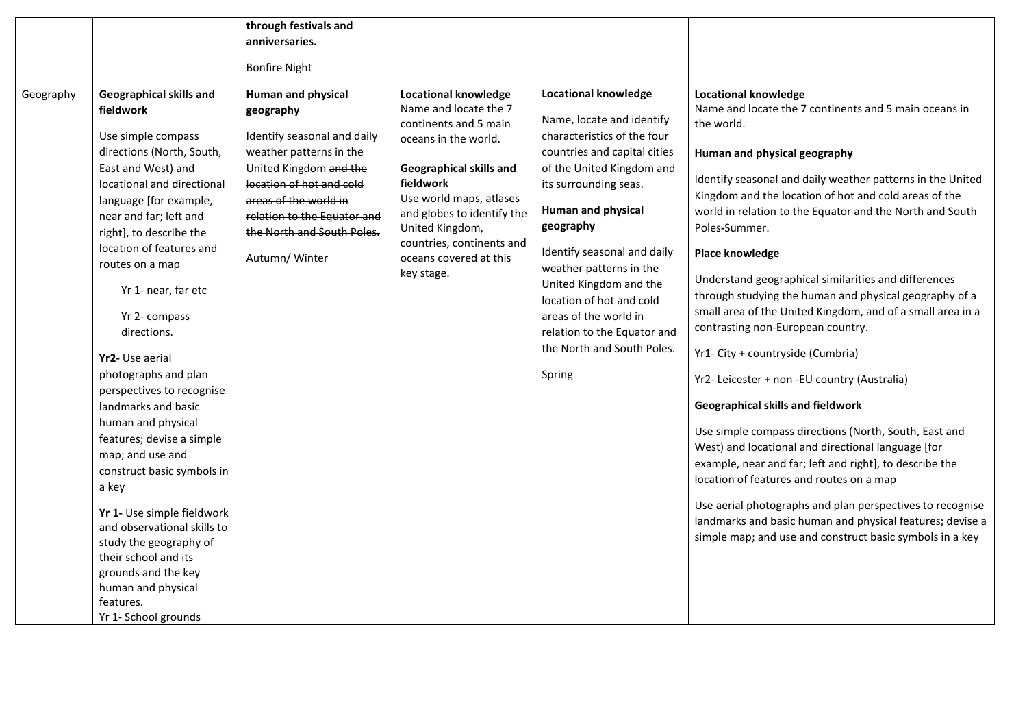|           |                                | through festivals and       |                                                |                              |                                                                     |
|-----------|--------------------------------|-----------------------------|------------------------------------------------|------------------------------|---------------------------------------------------------------------|
|           |                                | anniversaries.              |                                                |                              |                                                                     |
|           |                                | <b>Bonfire Night</b>        |                                                |                              |                                                                     |
|           |                                |                             |                                                |                              |                                                                     |
| Geography | <b>Geographical skills and</b> | Human and physical          | <b>Locational knowledge</b>                    | <b>Locational knowledge</b>  | <b>Locational knowledge</b>                                         |
|           | fieldwork                      | geography                   | Name and locate the 7<br>continents and 5 main | Name, locate and identify    | Name and locate the 7 continents and 5 main oceans in<br>the world. |
|           | Use simple compass             | Identify seasonal and daily | oceans in the world.                           | characteristics of the four  |                                                                     |
|           | directions (North, South,      | weather patterns in the     |                                                | countries and capital cities | Human and physical geography                                        |
|           | East and West) and             | United Kingdom and the      | Geographical skills and                        | of the United Kingdom and    | Identify seasonal and daily weather patterns in the United          |
|           | locational and directional     | location of hot and cold    | fieldwork                                      | its surrounding seas.        | Kingdom and the location of hot and cold areas of the               |
|           | language [for example,         | areas of the world in       | Use world maps, atlases                        | <b>Human and physical</b>    | world in relation to the Equator and the North and South            |
|           | near and far; left and         | relation to the Equator and | and globes to identify the<br>United Kingdom,  | geography                    | Poles-Summer.                                                       |
|           | right], to describe the        | the North and South Poles.  | countries, continents and                      |                              |                                                                     |
|           | location of features and       | Autumn/ Winter              | oceans covered at this                         | Identify seasonal and daily  | <b>Place knowledge</b>                                              |
|           | routes on a map                |                             | key stage.                                     | weather patterns in the      |                                                                     |
|           | Yr 1- near, far etc            |                             |                                                | United Kingdom and the       | Understand geographical similarities and differences                |
|           |                                |                             |                                                | location of hot and cold     | through studying the human and physical geography of a              |
|           | Yr 2- compass                  |                             |                                                | areas of the world in        | small area of the United Kingdom, and of a small area in a          |
|           | directions.                    |                             |                                                | relation to the Equator and  | contrasting non-European country.                                   |
|           |                                |                             |                                                | the North and South Poles.   | Yr1- City + countryside (Cumbria)                                   |
|           | Yr2- Use aerial                |                             |                                                |                              |                                                                     |
|           | photographs and plan           |                             |                                                | Spring                       | Yr2- Leicester + non -EU country (Australia)                        |
|           | perspectives to recognise      |                             |                                                |                              |                                                                     |
|           | landmarks and basic            |                             |                                                |                              | <b>Geographical skills and fieldwork</b>                            |
|           | human and physical             |                             |                                                |                              | Use simple compass directions (North, South, East and               |
|           | features; devise a simple      |                             |                                                |                              | West) and locational and directional language [for                  |
|           | map; and use and               |                             |                                                |                              | example, near and far; left and right], to describe the             |
|           | construct basic symbols in     |                             |                                                |                              | location of features and routes on a map                            |
|           | a key                          |                             |                                                |                              |                                                                     |
|           | Yr 1- Use simple fieldwork     |                             |                                                |                              | Use aerial photographs and plan perspectives to recognise           |
|           | and observational skills to    |                             |                                                |                              | landmarks and basic human and physical features; devise a           |
|           | study the geography of         |                             |                                                |                              | simple map; and use and construct basic symbols in a key            |
|           | their school and its           |                             |                                                |                              |                                                                     |
|           | grounds and the key            |                             |                                                |                              |                                                                     |
|           | human and physical             |                             |                                                |                              |                                                                     |
|           | features.                      |                             |                                                |                              |                                                                     |
|           | Yr 1- School grounds           |                             |                                                |                              |                                                                     |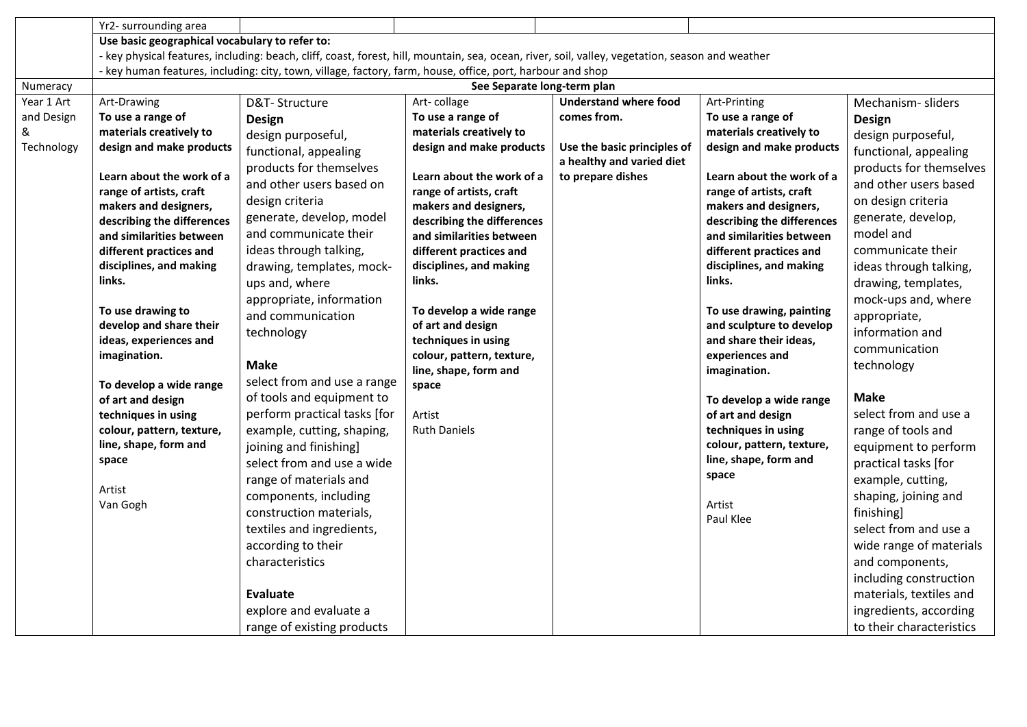|            | Yr2- surrounding area                                                                                                                            |                              |                                                  |                              |                                                  |                          |  |  |  |
|------------|--------------------------------------------------------------------------------------------------------------------------------------------------|------------------------------|--------------------------------------------------|------------------------------|--------------------------------------------------|--------------------------|--|--|--|
|            | Use basic geographical vocabulary to refer to:                                                                                                   |                              |                                                  |                              |                                                  |                          |  |  |  |
|            | - key physical features, including: beach, cliff, coast, forest, hill, mountain, sea, ocean, river, soil, valley, vegetation, season and weather |                              |                                                  |                              |                                                  |                          |  |  |  |
|            | - key human features, including: city, town, village, factory, farm, house, office, port, harbour and shop                                       |                              |                                                  |                              |                                                  |                          |  |  |  |
| Numeracy   |                                                                                                                                                  |                              | See Separate long-term plan                      |                              |                                                  |                          |  |  |  |
| Year 1 Art | Art-Drawing                                                                                                                                      | D&T-Structure                | Art-collage                                      | <b>Understand where food</b> | Art-Printing                                     | Mechanism-sliders        |  |  |  |
| and Design | To use a range of                                                                                                                                | <b>Design</b>                | To use a range of                                | comes from.                  | To use a range of                                | <b>Design</b>            |  |  |  |
| &          | materials creatively to                                                                                                                          | design purposeful,           | materials creatively to                          |                              | materials creatively to                          | design purposeful,       |  |  |  |
| Technology | design and make products                                                                                                                         | functional, appealing        | design and make products                         | Use the basic principles of  | design and make products                         | functional, appealing    |  |  |  |
|            |                                                                                                                                                  | products for themselves      |                                                  | a healthy and varied diet    |                                                  | products for themselves  |  |  |  |
|            | Learn about the work of a                                                                                                                        | and other users based on     | Learn about the work of a                        | to prepare dishes            | Learn about the work of a                        | and other users based    |  |  |  |
|            | range of artists, craft<br>makers and designers,                                                                                                 | design criteria              | range of artists, craft<br>makers and designers, |                              | range of artists, craft<br>makers and designers, | on design criteria       |  |  |  |
|            | describing the differences                                                                                                                       | generate, develop, model     | describing the differences                       |                              | describing the differences                       | generate, develop,       |  |  |  |
|            | and similarities between                                                                                                                         | and communicate their        | and similarities between                         |                              | and similarities between                         | model and                |  |  |  |
|            | different practices and                                                                                                                          | ideas through talking,       | different practices and                          |                              | different practices and                          | communicate their        |  |  |  |
|            | disciplines, and making                                                                                                                          | drawing, templates, mock-    | disciplines, and making                          |                              | disciplines, and making                          | ideas through talking,   |  |  |  |
|            | links.                                                                                                                                           | ups and, where               | links.                                           |                              | links.                                           | drawing, templates,      |  |  |  |
|            |                                                                                                                                                  | appropriate, information     |                                                  |                              |                                                  | mock-ups and, where      |  |  |  |
|            | To use drawing to                                                                                                                                | and communication            | To develop a wide range                          |                              | To use drawing, painting                         | appropriate,             |  |  |  |
|            | develop and share their                                                                                                                          | technology                   | of art and design                                |                              | and sculpture to develop                         | information and          |  |  |  |
|            | ideas, experiences and                                                                                                                           |                              | techniques in using                              |                              | and share their ideas,                           | communication            |  |  |  |
|            | imagination.                                                                                                                                     | <b>Make</b>                  | colour, pattern, texture,                        |                              | experiences and                                  | technology               |  |  |  |
|            | To develop a wide range                                                                                                                          | select from and use a range  | line, shape, form and<br>space                   |                              | imagination.                                     |                          |  |  |  |
|            | of art and design                                                                                                                                | of tools and equipment to    |                                                  |                              | To develop a wide range                          | <b>Make</b>              |  |  |  |
|            | techniques in using                                                                                                                              | perform practical tasks [for | Artist                                           |                              | of art and design                                | select from and use a    |  |  |  |
|            | colour, pattern, texture,                                                                                                                        | example, cutting, shaping,   | <b>Ruth Daniels</b>                              |                              | techniques in using                              | range of tools and       |  |  |  |
|            | line, shape, form and                                                                                                                            | joining and finishing]       |                                                  |                              | colour, pattern, texture,                        | equipment to perform     |  |  |  |
|            | space                                                                                                                                            | select from and use a wide   |                                                  |                              | line, shape, form and                            | practical tasks [for     |  |  |  |
|            |                                                                                                                                                  | range of materials and       |                                                  |                              | space                                            | example, cutting,        |  |  |  |
|            | Artist                                                                                                                                           | components, including        |                                                  |                              |                                                  | shaping, joining and     |  |  |  |
|            | Van Gogh                                                                                                                                         | construction materials,      |                                                  |                              | Artist                                           | finishing]               |  |  |  |
|            |                                                                                                                                                  | textiles and ingredients,    |                                                  |                              | Paul Klee                                        | select from and use a    |  |  |  |
|            |                                                                                                                                                  | according to their           |                                                  |                              |                                                  | wide range of materials  |  |  |  |
|            |                                                                                                                                                  | characteristics              |                                                  |                              |                                                  | and components,          |  |  |  |
|            |                                                                                                                                                  |                              |                                                  |                              |                                                  | including construction   |  |  |  |
|            |                                                                                                                                                  | Evaluate                     |                                                  |                              |                                                  | materials, textiles and  |  |  |  |
|            |                                                                                                                                                  | explore and evaluate a       |                                                  |                              |                                                  | ingredients, according   |  |  |  |
|            |                                                                                                                                                  | range of existing products   |                                                  |                              |                                                  | to their characteristics |  |  |  |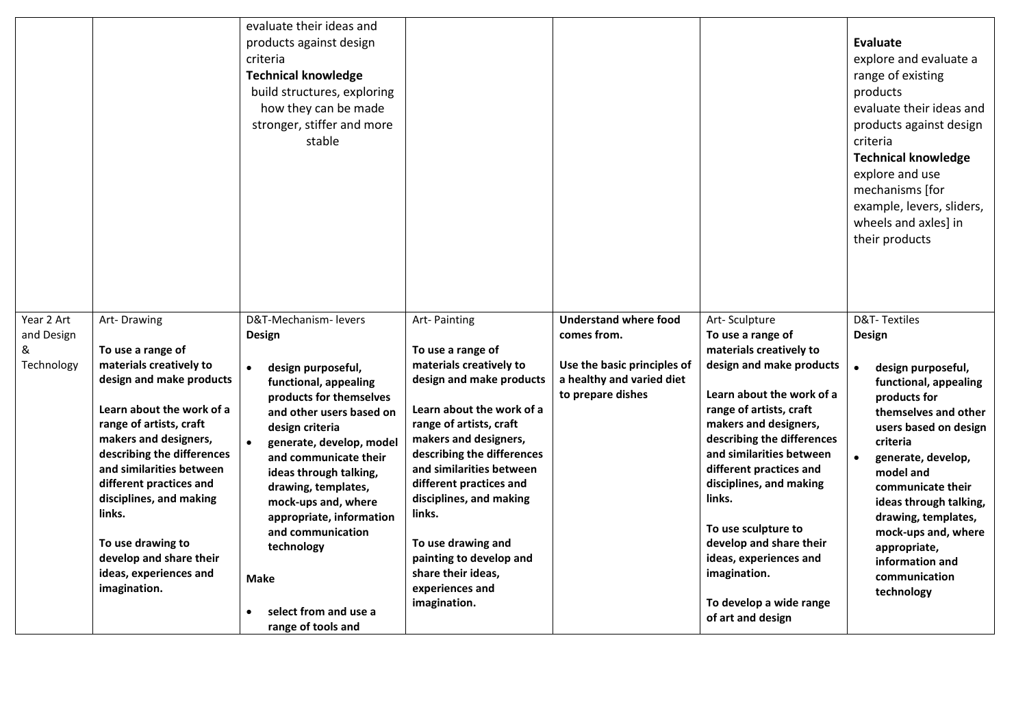|                 |                                                     | evaluate their ideas and<br>products against design<br>criteria<br><b>Technical knowledge</b><br>build structures, exploring<br>how they can be made<br>stronger, stiffer and more<br>stable |                                                     |                              |                                                    | Evaluate<br>explore and evaluate a<br>range of existing<br>products<br>evaluate their ideas and<br>products against design<br>criteria<br><b>Technical knowledge</b><br>explore and use<br>mechanisms [for<br>example, levers, sliders,<br>wheels and axles] in<br>their products |
|-----------------|-----------------------------------------------------|----------------------------------------------------------------------------------------------------------------------------------------------------------------------------------------------|-----------------------------------------------------|------------------------------|----------------------------------------------------|-----------------------------------------------------------------------------------------------------------------------------------------------------------------------------------------------------------------------------------------------------------------------------------|
| Year 2 Art      | Art-Drawing                                         | D&T-Mechanism-levers                                                                                                                                                                         | Art-Painting                                        | <b>Understand where food</b> | Art-Sculpture                                      | <b>D&amp;T-Textiles</b>                                                                                                                                                                                                                                                           |
| and Design<br>& | To use a range of                                   | <b>Design</b>                                                                                                                                                                                | To use a range of                                   | comes from.                  | To use a range of<br>materials creatively to       | Design                                                                                                                                                                                                                                                                            |
| Technology      | materials creatively to                             | design purposeful,<br>$\bullet$                                                                                                                                                              | materials creatively to                             | Use the basic principles of  | design and make products                           | design purposeful,                                                                                                                                                                                                                                                                |
|                 | design and make products                            | functional, appealing                                                                                                                                                                        | design and make products                            | a healthy and varied diet    |                                                    | functional, appealing                                                                                                                                                                                                                                                             |
|                 | Learn about the work of a                           | products for themselves                                                                                                                                                                      | Learn about the work of a                           | to prepare dishes            | Learn about the work of a                          | products for                                                                                                                                                                                                                                                                      |
|                 | range of artists, craft                             | and other users based on<br>design criteria                                                                                                                                                  | range of artists, craft                             |                              | range of artists, craft<br>makers and designers,   | themselves and other<br>users based on design                                                                                                                                                                                                                                     |
|                 | makers and designers,                               | generate, develop, model                                                                                                                                                                     | makers and designers,                               |                              | describing the differences                         | criteria                                                                                                                                                                                                                                                                          |
|                 | describing the differences                          | and communicate their                                                                                                                                                                        | describing the differences                          |                              | and similarities between                           | generate, develop,                                                                                                                                                                                                                                                                |
|                 | and similarities between<br>different practices and | ideas through talking,                                                                                                                                                                       | and similarities between<br>different practices and |                              | different practices and<br>disciplines, and making | model and                                                                                                                                                                                                                                                                         |
|                 | disciplines, and making                             | drawing, templates,<br>mock-ups and, where                                                                                                                                                   | disciplines, and making                             |                              | links.                                             | communicate their<br>ideas through talking,                                                                                                                                                                                                                                       |
|                 | links.                                              | appropriate, information                                                                                                                                                                     | links.                                              |                              |                                                    | drawing, templates,                                                                                                                                                                                                                                                               |
|                 |                                                     | and communication                                                                                                                                                                            |                                                     |                              | To use sculpture to                                | mock-ups and, where                                                                                                                                                                                                                                                               |
|                 | To use drawing to<br>develop and share their        | technology                                                                                                                                                                                   | To use drawing and<br>painting to develop and       |                              | develop and share their<br>ideas, experiences and  | appropriate,                                                                                                                                                                                                                                                                      |
|                 | ideas, experiences and                              | <b>Make</b>                                                                                                                                                                                  | share their ideas,                                  |                              | imagination.                                       | information and<br>communication                                                                                                                                                                                                                                                  |
|                 | imagination.                                        |                                                                                                                                                                                              | experiences and                                     |                              |                                                    | technology                                                                                                                                                                                                                                                                        |
|                 |                                                     | select from and use a                                                                                                                                                                        | imagination.                                        |                              | To develop a wide range                            |                                                                                                                                                                                                                                                                                   |
|                 |                                                     | range of tools and                                                                                                                                                                           |                                                     |                              | of art and design                                  |                                                                                                                                                                                                                                                                                   |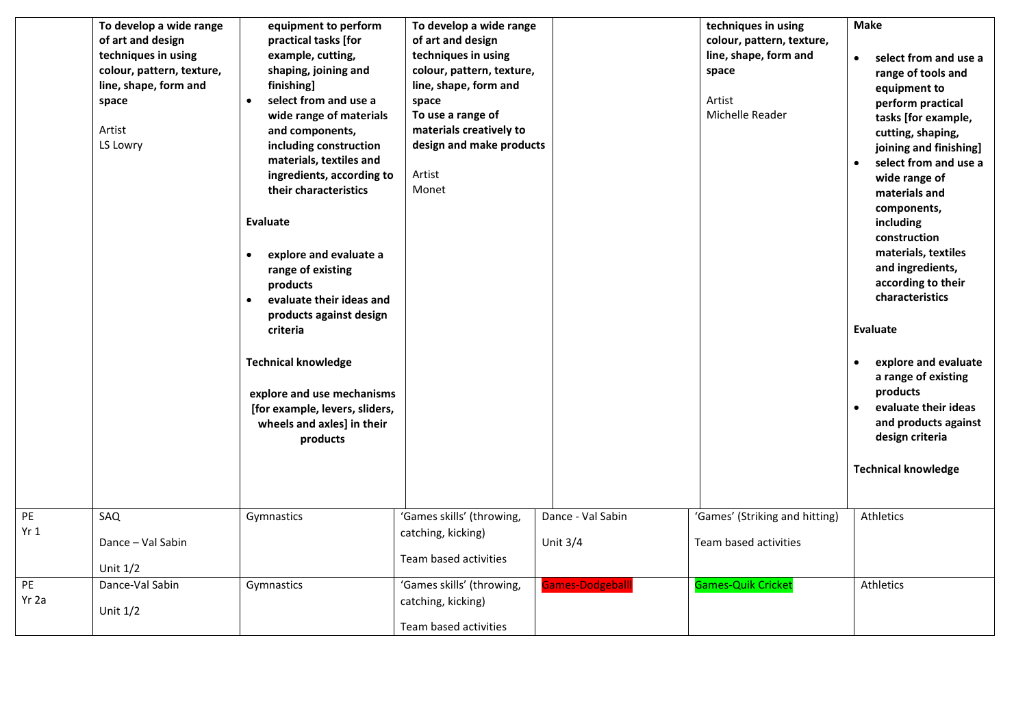|                          | To develop a wide range<br>of art and design<br>techniques in using<br>colour, pattern, texture,<br>line, shape, form and<br>space<br>Artist<br>LS Lowry | equipment to perform<br>practical tasks [for<br>example, cutting,<br>shaping, joining and<br>finishing]<br>select from and use a<br>$\bullet$<br>wide range of materials<br>and components,<br>including construction<br>materials, textiles and<br>ingredients, according to<br>their characteristics<br><b>Evaluate</b><br>explore and evaluate a<br>$\bullet$<br>range of existing<br>products<br>evaluate their ideas and<br>$\bullet$<br>products against design<br>criteria<br><b>Technical knowledge</b><br>explore and use mechanisms<br>[for example, levers, sliders,<br>wheels and axles] in their<br>products | To develop a wide range<br>of art and design<br>techniques in using<br>colour, pattern, texture,<br>line, shape, form and<br>space<br>To use a range of<br>materials creatively to<br>design and make products<br>Artist<br>Monet |                                 | techniques in using<br>colour, pattern, texture,<br>line, shape, form and<br>space<br>Artist<br>Michelle Reader | <b>Make</b><br>select from and use a<br>$\bullet$<br>range of tools and<br>equipment to<br>perform practical<br>tasks [for example,<br>cutting, shaping,<br>joining and finishing]<br>select from and use a<br>wide range of<br>materials and<br>components,<br>including<br>construction<br>materials, textiles<br>and ingredients,<br>according to their<br>characteristics<br><b>Evaluate</b><br>explore and evaluate<br>a range of existing<br>products<br>evaluate their ideas<br>and products against<br>design criteria |
|--------------------------|----------------------------------------------------------------------------------------------------------------------------------------------------------|---------------------------------------------------------------------------------------------------------------------------------------------------------------------------------------------------------------------------------------------------------------------------------------------------------------------------------------------------------------------------------------------------------------------------------------------------------------------------------------------------------------------------------------------------------------------------------------------------------------------------|-----------------------------------------------------------------------------------------------------------------------------------------------------------------------------------------------------------------------------------|---------------------------------|-----------------------------------------------------------------------------------------------------------------|--------------------------------------------------------------------------------------------------------------------------------------------------------------------------------------------------------------------------------------------------------------------------------------------------------------------------------------------------------------------------------------------------------------------------------------------------------------------------------------------------------------------------------|
|                          |                                                                                                                                                          |                                                                                                                                                                                                                                                                                                                                                                                                                                                                                                                                                                                                                           |                                                                                                                                                                                                                                   |                                 |                                                                                                                 | <b>Technical knowledge</b>                                                                                                                                                                                                                                                                                                                                                                                                                                                                                                     |
| PE<br>Yr 1               | SAQ<br>Dance - Val Sabin<br>Unit $1/2$                                                                                                                   | Gymnastics                                                                                                                                                                                                                                                                                                                                                                                                                                                                                                                                                                                                                | 'Games skills' (throwing,<br>catching, kicking)<br>Team based activities                                                                                                                                                          | Dance - Val Sabin<br>Unit $3/4$ | 'Games' (Striking and hitting)<br>Team based activities                                                         | Athletics                                                                                                                                                                                                                                                                                                                                                                                                                                                                                                                      |
| $\overline{PE}$<br>Yr 2a | Dance-Val Sabin<br>Unit $1/2$                                                                                                                            | Gymnastics                                                                                                                                                                                                                                                                                                                                                                                                                                                                                                                                                                                                                | 'Games skills' (throwing,<br>catching, kicking)<br>Team based activities                                                                                                                                                          | <b>Games-Dodgeball</b>          | <b>Games-Quik Cricket</b>                                                                                       | Athletics                                                                                                                                                                                                                                                                                                                                                                                                                                                                                                                      |